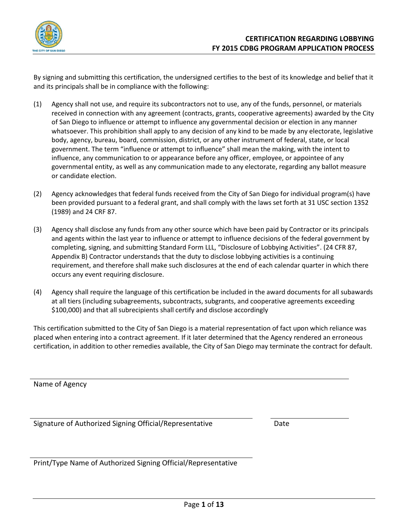

By signing and submitting this certification, the undersigned certifies to the best of its knowledge and belief that it and its principals shall be in compliance with the following:

- (1) Agency shall not use, and require its subcontractors not to use, any of the funds, personnel, or materials received in connection with any agreement (contracts, grants, cooperative agreements) awarded by the City of San Diego to influence or attempt to influence any governmental decision or election in any manner whatsoever. This prohibition shall apply to any decision of any kind to be made by any electorate, legislative body, agency, bureau, board, commission, district, or any other instrument of federal, state, or local government. The term "influence or attempt to influence" shall mean the making, with the intent to influence, any communication to or appearance before any officer, employee, or appointee of any governmental entity, as well as any communication made to any electorate, regarding any ballot measure or candidate election.
- (2) Agency acknowledges that federal funds received from the City of San Diego for individual program(s) have been provided pursuant to a federal grant, and shall comply with the laws set forth at 31 USC section 1352 (1989) and 24 CRF 87.
- (3) Agency shall disclose any funds from any other source which have been paid by Contractor or its principals and agents within the last year to influence or attempt to influence decisions of the federal government by completing, signing, and submitting Standard Form LLL, "Disclosure of Lobbying Activities". (24 CFR 87, Appendix B) Contractor understands that the duty to disclose lobbying activities is a continuing requirement, and therefore shall make such disclosures at the end of each calendar quarter in which there occurs any event requiring disclosure.
- (4) Agency shall require the language of this certification be included in the award documents for all subawards at all tiers (including subagreements, subcontracts, subgrants, and cooperative agreements exceeding \$100,000) and that all subrecipients shall certify and disclose accordingly

This certification submitted to the City of San Diego is a material representation of fact upon which reliance was placed when entering into a contract agreement. If it later determined that the Agency rendered an erroneous certification, in addition to other remedies available, the City of San Diego may terminate the contract for default.

Name of Agency

Signature of Authorized Signing Official/Representative Date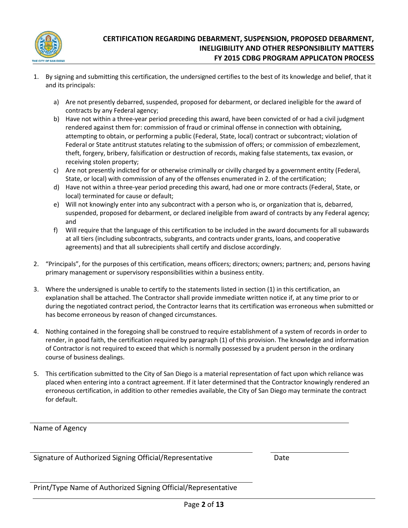

- 1. By signing and submitting this certification, the undersigned certifies to the best of its knowledge and belief, that it and its principals:
	- a) Are not presently debarred, suspended, proposed for debarment, or declared ineligible for the award of contracts by any Federal agency;
	- b) Have not within a three-year period preceding this award, have been convicted of or had a civil judgment rendered against them for: commission of fraud or criminal offense in connection with obtaining, attempting to obtain, or performing a public (Federal, State, local) contract or subcontract; violation of Federal or State antitrust statutes relating to the submission of offers; or commission of embezzlement, theft, forgery, bribery, falsification or destruction of records, making false statements, tax evasion, or receiving stolen property;
	- c) Are not presently indicted for or otherwise criminally or civilly charged by a government entity (Federal, State, or local) with commission of any of the offenses enumerated in 2. of the certification;
	- d) Have not within a three-year period preceding this award, had one or more contracts (Federal, State, or local) terminated for cause or default;
	- e) Will not knowingly enter into any subcontract with a person who is, or organization that is, debarred, suspended, proposed for debarment, or declared ineligible from award of contracts by any Federal agency; and
	- f) Will require that the language of this certification to be included in the award documents for all subawards at all tiers (including subcontracts, subgrants, and contracts under grants, loans, and cooperative agreements) and that all subrecipients shall certify and disclose accordingly.
- 2. "Principals", for the purposes of this certification, means officers; directors; owners; partners; and, persons having primary management or supervisory responsibilities within a business entity.
- 3. Where the undersigned is unable to certify to the statements listed in section (1) in this certification, an explanation shall be attached. The Contractor shall provide immediate written notice if, at any time prior to or during the negotiated contract period, the Contractor learns that its certification was erroneous when submitted or has become erroneous by reason of changed circumstances.
- 4. Nothing contained in the foregoing shall be construed to require establishment of a system of records in order to render, in good faith, the certification required by paragraph (1) of this provision. The knowledge and information of Contractor is not required to exceed that which is normally possessed by a prudent person in the ordinary course of business dealings.
- 5. This certification submitted to the City of San Diego is a material representation of fact upon which reliance was placed when entering into a contract agreement. If it later determined that the Contractor knowingly rendered an erroneous certification, in addition to other remedies available, the City of San Diego may terminate the contract for default.

## Name of Agency

Signature of Authorized Signing Official/Representative Date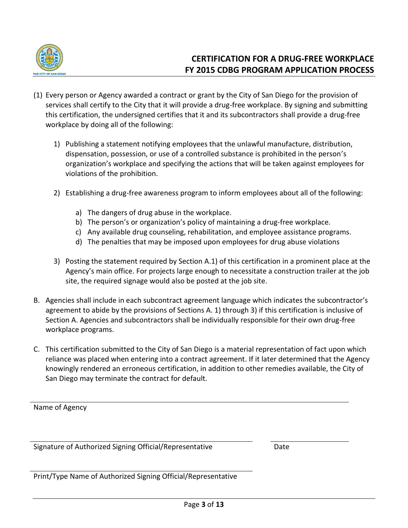

- (1) Every person or Agency awarded a contract or grant by the City of San Diego for the provision of services shall certify to the City that it will provide a drug-free workplace. By signing and submitting this certification, the undersigned certifies that it and its subcontractors shall provide a drug-free workplace by doing all of the following:
	- 1) Publishing a statement notifying employees that the unlawful manufacture, distribution, dispensation, possession, or use of a controlled substance is prohibited in the person's organization's workplace and specifying the actions that will be taken against employees for violations of the prohibition.
	- 2) Establishing a drug-free awareness program to inform employees about all of the following:
		- a) The dangers of drug abuse in the workplace.
		- b) The person's or organization's policy of maintaining a drug-free workplace.
		- c) Any available drug counseling, rehabilitation, and employee assistance programs.
		- d) The penalties that may be imposed upon employees for drug abuse violations
	- 3) Posting the statement required by Section A.1) of this certification in a prominent place at the Agency's main office. For projects large enough to necessitate a construction trailer at the job site, the required signage would also be posted at the job site.
- B. Agencies shall include in each subcontract agreement language which indicates the subcontractor's agreement to abide by the provisions of Sections A. 1) through 3) if this certification is inclusive of Section A. Agencies and subcontractors shall be individually responsible for their own drug-free workplace programs.
- C. This certification submitted to the City of San Diego is a material representation of fact upon which reliance was placed when entering into a contract agreement. If it later determined that the Agency knowingly rendered an erroneous certification, in addition to other remedies available, the City of San Diego may terminate the contract for default.

Name of Agency

Signature of Authorized Signing Official/Representative Date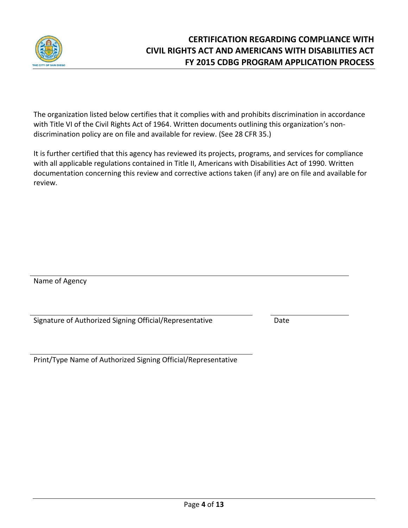

The organization listed below certifies that it complies with and prohibits discrimination in accordance with Title VI of the Civil Rights Act of 1964. Written documents outlining this organization's nondiscrimination policy are on file and available for review. (See 28 CFR 35.)

It is further certified that this agency has reviewed its projects, programs, and services for compliance with all applicable regulations contained in Title II, Americans with Disabilities Act of 1990. Written documentation concerning this review and corrective actions taken (if any) are on file and available for review.

Name of Agency

Signature of Authorized Signing Official/Representative Date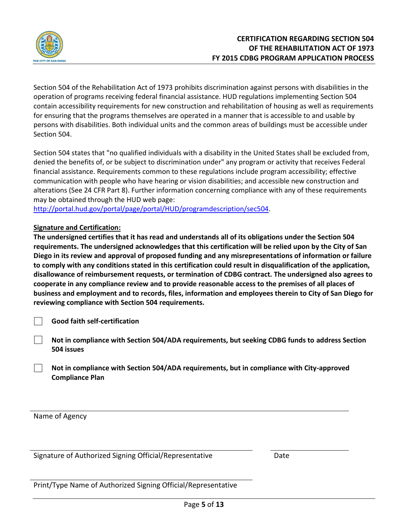

Section 504 of the Rehabilitation Act of 1973 prohibits discrimination against persons with disabilities in the operation of programs receiving federal financial assistance. HUD regulations implementing Section 504 contain accessibility requirements for new construction and rehabilitation of housing as well as requirements for ensuring that the programs themselves are operated in a manner that is accessible to and usable by persons with disabilities. Both individual units and the common areas of buildings must be accessible under Section 504.

Section 504 states that "no qualified individuals with a disability in the United States shall be excluded from, denied the benefits of, or be subject to discrimination under" any program or activity that receives Federal financial assistance. Requirements common to these regulations include program accessibility; effective communication with people who have hearing or vision disabilities; and accessible new construction and alterations (See 24 CFR Part 8). Further information concerning compliance with any of these requirements may be obtained through the HUD web page:

[http://portal.hud.gov/portal/page/portal/HUD/programdescription/sec504.](http://portal.hud.gov/portal/page/portal/HUD/programdescription/sec504)

## **Signature and Certification:**

**The undersigned certifies that it has read and understands all of its obligations under the Section 504 requirements. The undersigned acknowledges that this certification will be relied upon by the City of San Diego in its review and approval of proposed funding and any misrepresentations of information or failure to comply with any conditions stated in this certification could result in disqualification of the application, disallowance of reimbursement requests, or termination of CDBG contract. The undersigned also agrees to cooperate in any compliance review and to provide reasonable access to the premises of all places of business and employment and to records, files, information and employees therein to City of San Diego for reviewing compliance with Section 504 requirements.**

- **Good faith self-certification**
- **Not in compliance with Section 504/ADA requirements, but seeking CDBG funds to address Section 504 issues**
- **Not in compliance with Section 504/ADA requirements, but in compliance with City-approved Compliance Plan**

Name of Agency

Signature of Authorized Signing Official/Representative Date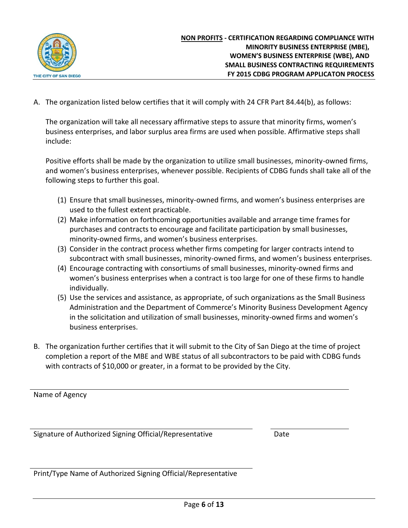

A. The organization listed below certifies that it will comply with 24 CFR Part 84.44(b), as follows:

The organization will take all necessary affirmative steps to assure that minority firms, women's business enterprises, and labor surplus area firms are used when possible. Affirmative steps shall include:

Positive efforts shall be made by the organization to utilize small businesses, minority-owned firms, and women's business enterprises, whenever possible. Recipients of CDBG funds shall take all of the following steps to further this goal.

- (1) Ensure that small businesses, minority-owned firms, and women's business enterprises are used to the fullest extent practicable.
- (2) Make information on forthcoming opportunities available and arrange time frames for purchases and contracts to encourage and facilitate participation by small businesses, minority-owned firms, and women's business enterprises.
- (3) Consider in the contract process whether firms competing for larger contracts intend to subcontract with small businesses, minority-owned firms, and women's business enterprises.
- (4) Encourage contracting with consortiums of small businesses, minority-owned firms and women's business enterprises when a contract is too large for one of these firms to handle individually.
- (5) Use the services and assistance, as appropriate, of such organizations as the Small Business Administration and the Department of Commerce's Minority Business Development Agency in the solicitation and utilization of small businesses, minority-owned firms and women's business enterprises.
- B. The organization further certifies that it will submit to the City of San Diego at the time of project completion a report of the MBE and WBE status of all subcontractors to be paid with CDBG funds with contracts of \$10,000 or greater, in a format to be provided by the City.

Name of Agency

Signature of Authorized Signing Official/Representative Date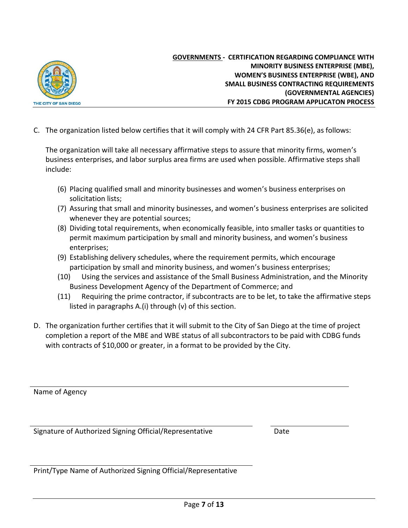

**GOVERNMENTS - CERTIFICATION REGARDING COMPLIANCE WITH MINORITY BUSINESS ENTERPRISE (MBE), WOMEN'S BUSINESS ENTERPRISE (WBE), AND SMALL BUSINESS CONTRACTING REQUIREMENTS (GOVERNMENTAL AGENCIES) FY 2015 CDBG PROGRAM APPLICATON PROCESS**

C. The organization listed below certifies that it will comply with 24 CFR Part 85.36(e), as follows:

The organization will take all necessary affirmative steps to assure that minority firms, women's business enterprises, and labor surplus area firms are used when possible. Affirmative steps shall include:

- (6) Placing qualified small and minority businesses and women's business enterprises on solicitation lists;
- (7) Assuring that small and minority businesses, and women's business enterprises are solicited whenever they are potential sources;
- (8) Dividing total requirements, when economically feasible, into smaller tasks or quantities to permit maximum participation by small and minority business, and women's business enterprises;
- (9) Establishing delivery schedules, where the requirement permits, which encourage participation by small and minority business, and women's business enterprises;
- (10) Using the services and assistance of the Small Business Administration, and the Minority Business Development Agency of the Department of Commerce; and
- (11) Requiring the prime contractor, if subcontracts are to be let, to take the affirmative steps listed in paragraphs A.(i) through (v) of this section.
- D. The organization further certifies that it will submit to the City of San Diego at the time of project completion a report of the MBE and WBE status of all subcontractors to be paid with CDBG funds with contracts of \$10,000 or greater, in a format to be provided by the City.

Name of Agency

Signature of Authorized Signing Official/Representative Date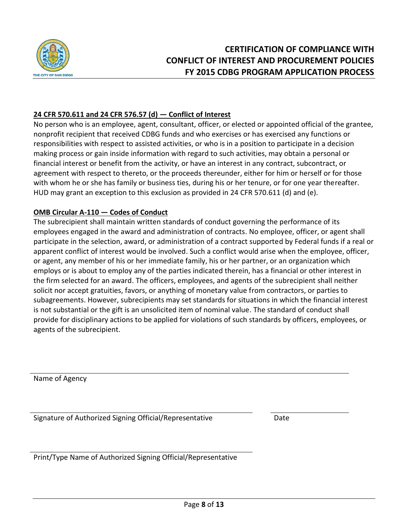

## **24 CFR 570.611 and 24 CFR 576.57 (d) — Conflict of Interest**

No person who is an employee, agent, consultant, officer, or elected or appointed official of the grantee, nonprofit recipient that received CDBG funds and who exercises or has exercised any functions or responsibilities with respect to assisted activities, or who is in a position to participate in a decision making process or gain inside information with regard to such activities, may obtain a personal or financial interest or benefit from the activity, or have an interest in any contract, subcontract, or agreement with respect to thereto, or the proceeds thereunder, either for him or herself or for those with whom he or she has family or business ties, during his or her tenure, or for one year thereafter. HUD may grant an exception to this exclusion as provided in 24 CFR 570.611 (d) and (e).

## **OMB Circular A-110 — Codes of Conduct**

The subrecipient shall maintain written standards of conduct governing the performance of its employees engaged in the award and administration of contracts. No employee, officer, or agent shall participate in the selection, award, or administration of a contract supported by Federal funds if a real or apparent conflict of interest would be involved. Such a conflict would arise when the employee, officer, or agent, any member of his or her immediate family, his or her partner, or an organization which employs or is about to employ any of the parties indicated therein, has a financial or other interest in the firm selected for an award. The officers, employees, and agents of the subrecipient shall neither solicit nor accept gratuities, favors, or anything of monetary value from contractors, or parties to subagreements. However, subrecipients may set standards for situations in which the financial interest is not substantial or the gift is an unsolicited item of nominal value. The standard of conduct shall provide for disciplinary actions to be applied for violations of such standards by officers, employees, or agents of the subrecipient.

Name of Agency

Signature of Authorized Signing Official/Representative Date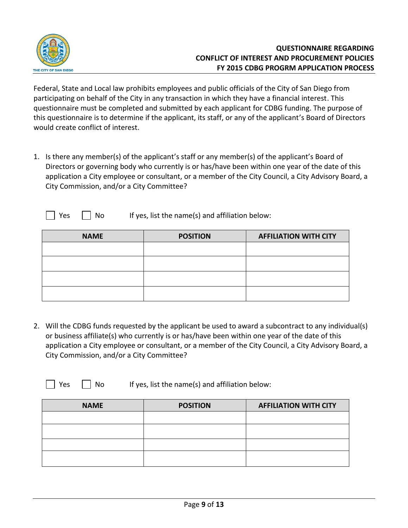

Federal, State and Local law prohibits employees and public officials of the City of San Diego from participating on behalf of the City in any transaction in which they have a financial interest. This questionnaire must be completed and submitted by each applicant for CDBG funding. The purpose of this questionnaire is to determine if the applicant, its staff, or any of the applicant's Board of Directors would create conflict of interest.

- 1. Is there any member(s) of the applicant's staff or any member(s) of the applicant's Board of Directors or governing body who currently is or has/have been within one year of the date of this application a City employee or consultant, or a member of the City Council, a City Advisory Board, a City Commission, and/or a City Committee?
	- $\vert$  Yes  $\vert$   $\vert$  No If yes, list the name(s) and affiliation below:

| <b>NAME</b> | <b>POSITION</b> | <b>AFFILIATION WITH CITY</b> |
|-------------|-----------------|------------------------------|
|             |                 |                              |
|             |                 |                              |
|             |                 |                              |
|             |                 |                              |

2. Will the CDBG funds requested by the applicant be used to award a subcontract to any individual(s) or business affiliate(s) who currently is or has/have been within one year of the date of this application a City employee or consultant, or a member of the City Council, a City Advisory Board, a City Commission, and/or a City Committee?

Yes  $\parallel$  No If yes, list the name(s) and affiliation below:

| <b>NAME</b> | <b>POSITION</b> | <b>AFFILIATION WITH CITY</b> |
|-------------|-----------------|------------------------------|
|             |                 |                              |
|             |                 |                              |
|             |                 |                              |
|             |                 |                              |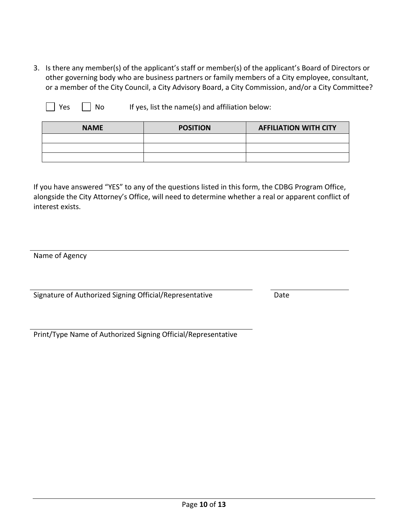3. Is there any member(s) of the applicant's staff or member(s) of the applicant's Board of Directors or other governing body who are business partners or family members of a City employee, consultant, or a member of the City Council, a City Advisory Board, a City Commission, and/or a City Committee?

 $\Box$  Yes  $\Box$  No If yes, list the name(s) and affiliation below:

| <b>NAME</b> | <b>POSITION</b> | <b>AFFILIATION WITH CITY</b> |
|-------------|-----------------|------------------------------|
|             |                 |                              |
|             |                 |                              |
|             |                 |                              |

If you have answered "YES" to any of the questions listed in this form, the CDBG Program Office, alongside the City Attorney's Office, will need to determine whether a real or apparent conflict of interest exists.

Name of Agency

Signature of Authorized Signing Official/Representative Date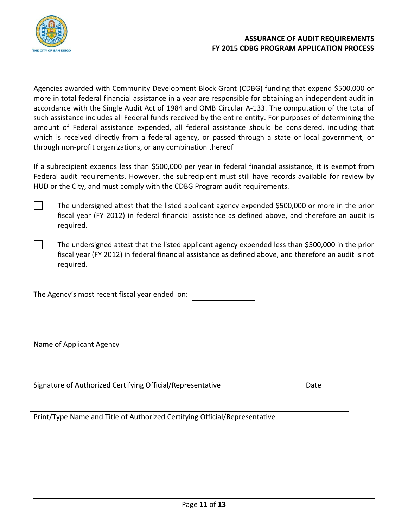

Agencies awarded with Community Development Block Grant (CDBG) funding that expend \$500,000 or more in total federal financial assistance in a year are responsible for obtaining an independent audit in accordance with the Single Audit Act of 1984 and OMB Circular A-133. The computation of the total of such assistance includes all Federal funds received by the entire entity. For purposes of determining the amount of Federal assistance expended, all federal assistance should be considered, including that which is received directly from a federal agency, or passed through a state or local government, or through non-profit organizations, or any combination thereof

If a subrecipient expends less than \$500,000 per year in federal financial assistance, it is exempt from Federal audit requirements. However, the subrecipient must still have records available for review by HUD or the City, and must comply with the CDBG Program audit requirements.

The undersigned attest that the listed applicant agency expended \$500,000 or more in the prior fiscal year (FY 2012) in federal financial assistance as defined above, and therefore an audit is required.

The undersigned attest that the listed applicant agency expended less than \$500,000 in the prior fiscal year (FY 2012) in federal financial assistance as defined above, and therefore an audit is not required.

The Agency's most recent fiscal year ended on:

Name of Applicant Agency

Signature of Authorized Certifying Official/Representative Date

Print/Type Name and Title of Authorized Certifying Official/Representative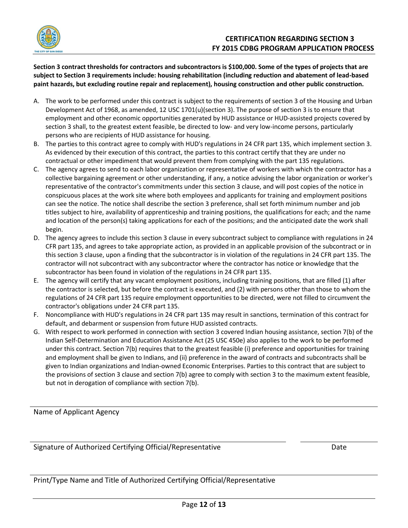

**Section 3 contract thresholds for contractors and subcontractors is \$100,000. Some of the types of projects that are subject to Section 3 requirements include: housing rehabilitation (including reduction and abatement of lead-based paint hazards, but excluding routine repair and replacement), housing construction and other public construction.**

- A. The work to be performed under this contract is subject to the requirements of section 3 of the Housing and Urban Development Act of 1968, as amended, 12 USC 1701(u)(section 3). The purpose of section 3 is to ensure that employment and other economic opportunities generated by HUD assistance or HUD-assisted projects covered by section 3 shall, to the greatest extent feasible, be directed to low- and very low-income persons, particularly persons who are recipients of HUD assistance for housing.
- B. The parties to this contract agree to comply with HUD's regulations in 24 CFR part 135, which implement section 3. As evidenced by their execution of this contract, the parties to this contract certify that they are under no contractual or other impediment that would prevent them from complying with the part 135 regulations.
- C. The agency agrees to send to each labor organization or representative of workers with which the contractor has a collective bargaining agreement or other understanding, if any, a notice advising the labor organization or worker's representative of the contractor's commitments under this section 3 clause, and will post copies of the notice in conspicuous places at the work site where both employees and applicants for training and employment positions can see the notice. The notice shall describe the section 3 preference, shall set forth minimum number and job titles subject to hire, availability of apprenticeship and training positions, the qualifications for each; and the name and location of the person(s) taking applications for each of the positions; and the anticipated date the work shall begin.
- D. The agency agrees to include this section 3 clause in every subcontract subject to compliance with regulations in 24 CFR part 135, and agrees to take appropriate action, as provided in an applicable provision of the subcontract or in this section 3 clause, upon a finding that the subcontractor is in violation of the regulations in 24 CFR part 135. The contractor will not subcontract with any subcontractor where the contractor has notice or knowledge that the subcontractor has been found in violation of the regulations in 24 CFR part 135.
- E. The agency will certify that any vacant employment positions, including training positions, that are filled (1) after the contractor is selected, but before the contract is executed, and (2) with persons other than those to whom the regulations of 24 CFR part 135 require employment opportunities to be directed, were not filled to circumvent the contractor's obligations under 24 CFR part 135.
- F. Noncompliance with HUD's regulations in 24 CFR part 135 may result in sanctions, termination of this contract for default, and debarment or suspension from future HUD assisted contracts.
- G. With respect to work performed in connection with section 3 covered Indian housing assistance, section 7(b) of the Indian Self-Determination and Education Assistance Act (25 USC 450e) also applies to the work to be performed under this contract. Section 7(b) requires that to the greatest feasible (i) preference and opportunities for training and employment shall be given to Indians, and (ii) preference in the award of contracts and subcontracts shall be given to Indian organizations and Indian-owned Economic Enterprises. Parties to this contract that are subject to the provisions of section 3 clause and section 7(b) agree to comply with section 3 to the maximum extent feasible, but not in derogation of compliance with section 7(b).

Name of Applicant Agency

Signature of Authorized Certifying Official/Representative Date

Print/Type Name and Title of Authorized Certifying Official/Representative